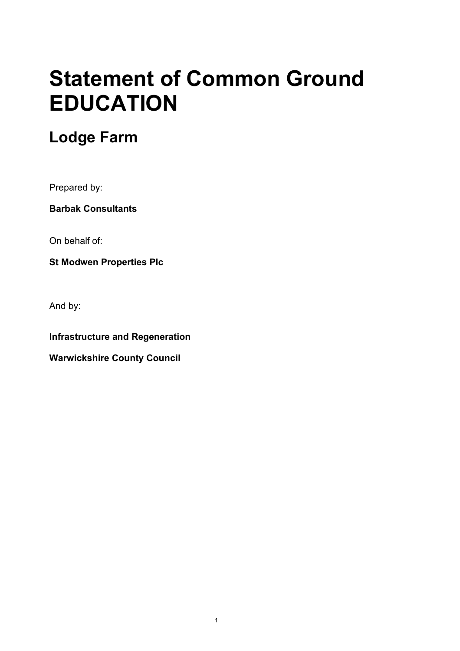# **Statement of Common Ground EDUCATION**

# **Lodge Farm**

Prepared by:

**Barbak Consultants**

On behalf of:

**St Modwen Properties Plc**

And by:

**Infrastructure and Regeneration**

**Warwickshire County Council**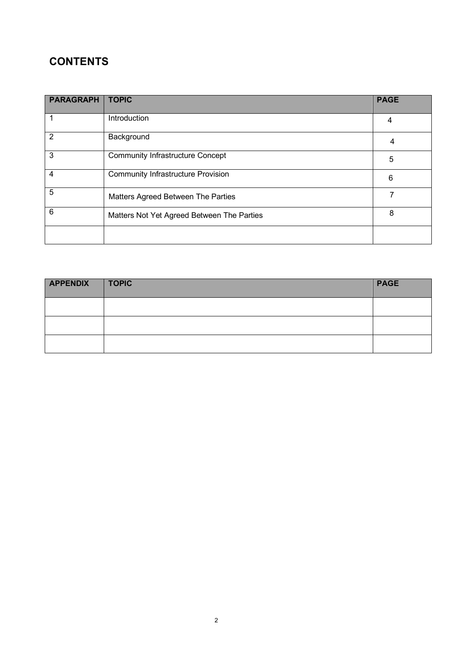# **CONTENTS**

| <b>PARAGRAPH</b> | <b>TOPIC</b>                               | <b>PAGE</b> |
|------------------|--------------------------------------------|-------------|
|                  | Introduction                               | 4           |
| $\overline{2}$   | Background                                 | 4           |
| 3                | <b>Community Infrastructure Concept</b>    | 5           |
| 4                | <b>Community Infrastructure Provision</b>  | 6           |
| 5                | Matters Agreed Between The Parties         |             |
| 6                | Matters Not Yet Agreed Between The Parties | 8           |
|                  |                                            |             |

| <b>APPENDIX</b> | TOPIC | <b>PAGE</b> |
|-----------------|-------|-------------|
|                 |       |             |
|                 |       |             |
|                 |       |             |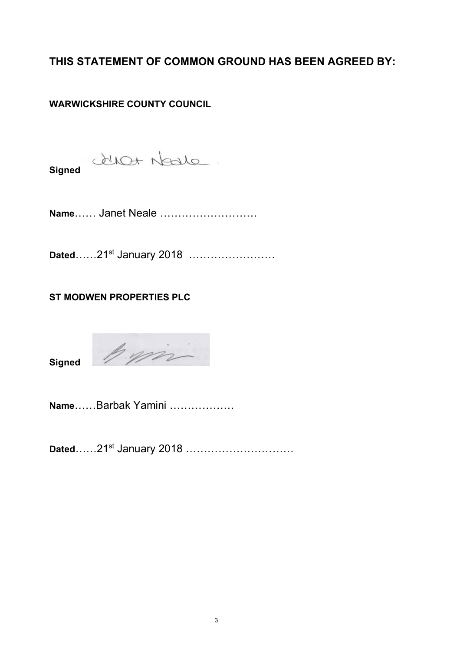**THIS STATEMENT OF COMMON GROUND HAS BEEN AGREED BY:**

## **WARWICKSHIRE COUNTY COUNCIL**

duot Nave.

**Signed**

**Name**…… Janet Neale ………………………

Dated……21<sup>st</sup> January 2018 ……………………

### **ST MODWEN PROPERTIES PLC**

**Signed**



**Name**……Barbak Yamini ………………

Dated……21<sup>st</sup> January 2018 …………………………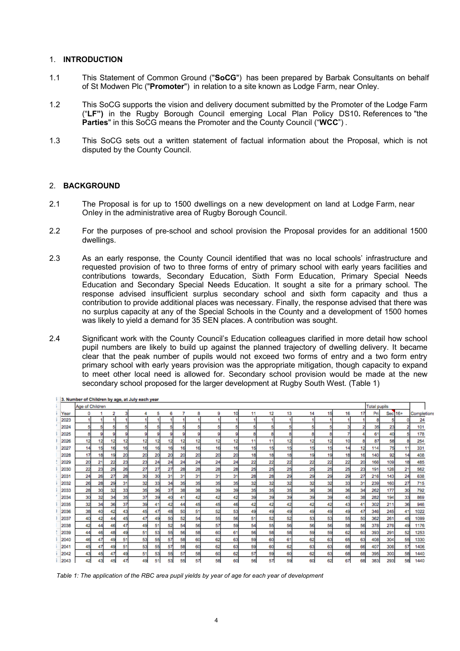#### 1. **INTRODUCTION**

- 1.1 This Statement of Common Ground ("**SoCG**") has been prepared by Barbak Consultants on behalf of St Modwen Plc ("**Promoter**") in relation to a site known as Lodge Farm, near Onley.
- 1.2 This SoCG supports the vision and delivery document submitted by the Promoter of the Lodge Farm ("**LF")** in the Rugby Borough Council emerging Local Plan Policy DS10**.** References to "the **Parties**" in this SoCG means the Promoter and the County Council ("**WCC**") .
- 1.3 This SoCG sets out a written statement of factual information about the Proposal, which is not disputed by the County Council.

#### 2. **BACKGROUND**

- 2.1 The Proposal is for up to 1500 dwellings on a new development on land at Lodge Farm, near Onley in the administrative area of Rugby Borough Council.
- 2.2 For the purposes of pre-school and school provision the Proposal provides for an additional 1500 dwellings.
- 2.3 As an early response, the County Council identified that was no local schools' infrastructure and requested provision of two to three forms of entry of primary school with early years facilities and contributions towards, Secondary Education, Sixth Form Education, Primary Special Needs Education and Secondary Special Needs Education. It sought a site for a primary school. The response advised insufficient surplus secondary school and sixth form capacity and thus a contribution to provide additional places was necessary. Finally, the response advised that there was no surplus capacity at any of the Special Schools in the County and a development of 1500 homes was likely to yield a demand for 35 SEN places. A contribution was sought.
- 2.4 Significant work with the County Council's Education colleagues clarified in more detail how school pupil numbers are likely to build up against the planned trajectory of dwelling delivery. It became clear that the peak number of pupils would not exceed two forms of entry and a two form entry primary school with early years provision was the appropriate mitigation, though capacity to expand to meet other local need is allowed for. Secondary school provision would be made at the new secondary school proposed for the larger development at Rugby South West. (Table 1)

| Year<br>2023 | ٥<br>5 |    | 2  |    |                                        |    |    |    |    |    |    |    |    |    |    |    |    |    |     |         |    |             |
|--------------|--------|----|----|----|----------------------------------------|----|----|----|----|----|----|----|----|----|----|----|----|----|-----|---------|----|-------------|
|              |        |    |    |    | Age of Children<br><b>Total pupils</b> |    |    |    |    |    |    |    |    |    |    |    |    |    |     |         |    |             |
|              |        |    |    |    | л                                      | 5  | 6  |    | 8  | 9  | 10 | 11 | 12 | 13 | 14 | 15 | 16 | 17 | Pri | Sec 16+ |    | Completions |
|              |        |    |    |    |                                        |    |    |    |    |    |    |    |    |    |    |    |    |    | 8   | 5       |    | 24          |
| 2024         |        | 5  | 5  | 5  |                                        | 5  |    | 5  | 5  | 5  | 5  | 5  | 5  | 5  | 5  | 5  | 3  | 2  | 35  | 23      |    | 101         |
| 2025         | 8      | 9  | 9  | g  | q                                      | 9  | g  | 9  | 9  | 9  | g  | а  | 8  | 8  | я  | 8  |    |    | 61  | 40      | 5  | 178         |
| 2026         | 12     | 12 | 12 | 12 | 12                                     | 12 | 12 | 12 | 12 | 12 | 12 | 11 | 11 | 12 | 12 | 12 | 10 | 8  | 87  | 58      |    | 254         |
| 2027         | 14     | 15 | 16 | 16 | 16                                     | 16 | 16 | 16 | 16 | 16 | 16 | 15 | 15 | 15 | 15 | 15 | 14 | 12 | 114 | 75      | 11 | 331         |
| 2028         | 17     | 18 | 19 | 20 | 20                                     | 20 | 20 | 20 | 20 | 20 | 20 | 18 | 18 | 18 | 19 | 19 | 18 | 16 | 140 | 92      | 14 | 408         |
| 2029         | 20     | 21 | 22 | 23 | 23                                     | 24 | 24 | 24 | 24 | 24 | 24 | 22 | 22 | 22 | 22 | 22 | 22 | 20 | 166 | 109     | 18 | 485         |
| 2030         | 22     | 23 | 25 | 26 | 27                                     | 27 | 27 | 28 | 28 | 28 | 28 | 25 | 25 | 25 | 25 | 25 | 25 | 23 | 191 | 126     | 21 | 562         |
| 2031         | 24     | 26 | 27 | 28 | 30                                     | 30 | 31 | 31 | 31 | 31 | 31 | 28 | 28 | 29 | 29 | 29 | 29 | 27 | 216 | 143     | 24 | 638         |
| 2032         | 26     | 28 | 29 | 31 | 32                                     | 33 | 34 | 35 | 35 | 35 | 35 | 32 | 32 | 32 | 32 | 32 | 33 | 31 | 239 | 160     | 27 | 715         |
| 2033         | 28     | 30 | 32 | 33 | 35                                     | 36 | 37 | 38 | 38 | 39 | 39 | 35 | 35 | 35 | 36 | 36 | 36 | 34 | 262 | 177     | 30 | 792         |
| 2034         | 30     | 32 | 34 | 35 | 37                                     | 39 | 40 | 41 | 42 | 42 | 42 | 39 | 39 | 39 | 39 | 39 | 40 | 38 | 282 | 194     | 33 | 869         |
| 2035         | 32     | 34 | 36 | 37 | 39                                     | 41 | 42 | 44 | 45 | 45 | 46 | 42 | 42 | 42 | 42 | 42 | 43 | 41 | 302 | 211     | 36 | 946         |
| 2036         | 38     | 40 | 42 | 43 | 45                                     | 47 | 48 | 50 | 51 | 52 | 53 | 49 | 49 | 49 | 49 | 49 | 49 | 47 | 346 | 245     | 41 | 1022        |
| 2037         | 40     | 42 | 44 | 45 | 47                                     | 49 | 50 | 52 | 54 | 55 | 56 | 51 | 52 | 52 | 53 | 53 | 55 | 50 | 362 | 261     | 45 | 1099        |
| 2038         | 42     | 44 | 46 | 47 | 49                                     | 51 | 52 | 54 | 56 | 57 | 59 | 54 | 55 | 56 | 56 | 56 | 58 | 56 | 378 | 276     | 49 | 1176        |
| 2039         | 44     | 46 | 48 | 49 | 51                                     | 53 | 55 | 56 | 58 | 60 | 61 | 56 | 58 | 58 | 59 | 59 | 62 | 60 | 393 | 291     | 52 | 1253        |
| 2040         | 46     | 47 | 49 | 51 | 53                                     | 55 | 57 | 58 | 60 | 62 | 63 | 59 | 60 | 61 | 62 | 63 | 65 | 63 | 408 | 304     | 55 | 1330        |
| 2041         | 45     | 47 | 49 | 51 | 53                                     | 55 | 57 | 58 | 60 | 62 | 63 | 59 | 60 | 62 | 63 | 63 | 68 | 66 | 407 | 306     | 57 | 1406        |
| 2042         | 43     | 45 | 47 | 49 | 51                                     | 53 | 55 | 57 | 58 | 60 | 62 | 57 | 59 | 60 | 62 | 63 | 68 | 68 | 395 | 300     | 58 | 1440        |
| 2043         | 42     | 43 | 45 | 47 | 49                                     | 51 | 53 | 55 | 57 | 58 | 60 | 56 | 57 | 59 | 60 | 62 | 67 | 68 | 383 | 293     | 58 | 1440        |

**1. In Monday of Children boys and of John and Long** 

*Table 1: The application of the RBC area pupil yields by year of age for each year of development*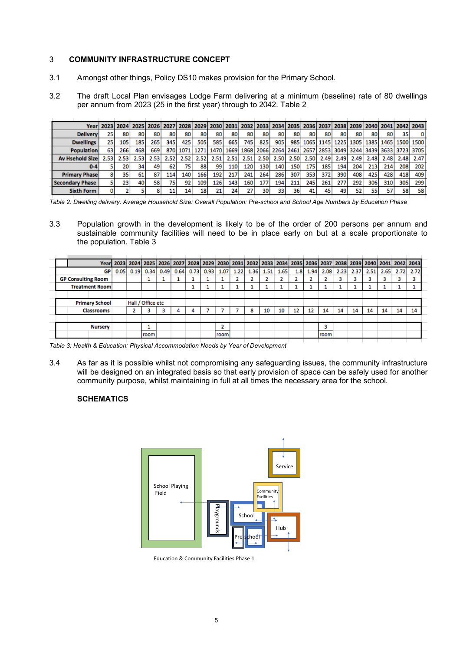#### 3 **COMMUNITY INFRASTRUCTURE CONCEPT**

- 3.1 Amongst other things, Policy DS10 makes provision for the Primary School.
- 3.2 The draft Local Plan envisages Lodge Farm delivering at a minimum (baseline) rate of 80 dwellings per annum from 2023 (25 in the first year) through to 2042. Table 2

| Year                    |      |      |      |      |                   | 2023 2024 2025 2026 2027 2028 2029 2030 2031 2032 2033 2034 2035 2036 2037 2038 2039 2040 2041 2042 2043 |      |      |      |      |      |      |                                                                                                               |      |      |      |      |      |      |                                                             |      |  |
|-------------------------|------|------|------|------|-------------------|----------------------------------------------------------------------------------------------------------|------|------|------|------|------|------|---------------------------------------------------------------------------------------------------------------|------|------|------|------|------|------|-------------------------------------------------------------|------|--|
| <b>Delivery</b>         | 251  | 80   | 80   | 80   | 80                | 80                                                                                                       | 80   | 80   | 80   | 80   | 80   | 80   | 80                                                                                                            | 80   | 80   | 80   | 80   | 80   | 80   | 35                                                          |      |  |
| <b>Dwellings</b>        | 25   | 105  | 185  | 265  | 345               | 425                                                                                                      | 505  | 585  | 665  | 745  | 825  | 905  |                                                                                                               |      |      |      |      |      |      | 985   1065   1145   1225   1305   1385   1465   1500   1500 |      |  |
| <b>Population</b>       | 63   | 266  | 468  | 669  | 870               |                                                                                                          |      |      |      |      |      |      | 1071   1271   1470   1669   1868   2066   2264   2461   2657   2853   3049   3244   3439   3633   3723   3705 |      |      |      |      |      |      |                                                             |      |  |
| <b>Av Hsehold Sizel</b> | 2.53 | 2.53 | 2.53 | 2.53 | 2.52 <sub>1</sub> | 2.52 <sub>1</sub>                                                                                        | 2.52 | 2.51 | 2.51 | 2.51 | 2.50 | 2.50 | 2.50                                                                                                          | 2.50 | 2.49 | 2.49 | 2.49 | 2.48 | 2.48 | 2.48                                                        | 2.47 |  |
| $0 - 4$                 |      | 20   | 34   | 49   | 62                | 75                                                                                                       | 88   | 99   | 110  | 120  | 130  | 140  | 150                                                                                                           | 175  | 185  | 194  | 204  | 213  | 214  | 208                                                         | 202  |  |
| <b>Primary Phase</b>    |      | 35   | 61   | 87   | 114               | 140                                                                                                      | 166  | 192  | 217  | 241  | 264  | 286  | 307                                                                                                           | 353  | 372  | 390  | 408  | 425  | 428  | 418                                                         | 409  |  |
| <b>Secondary Phase</b>  |      | 23   | 40   | 58   | 75                | 92                                                                                                       | 109  | 126  | 143  | 160  | 177  | 194  | 211                                                                                                           | 245  | 261  | 277  | 292  | 306  | 310  | 305                                                         | 299  |  |
| <b>Sixth Form</b>       |      |      |      |      | 11                | 14                                                                                                       | 18   | 21   | 24   | 27   | 30   | 33   | 36                                                                                                            | 41   |      | 49   | 52   | 55   |      | 58                                                          | 58   |  |

*Table 2: Dwelling delivery: Average Household Size: Overall Population: Pre-school and School Age Numbers by Education Phase*

3.3 Population growth in the development is likely to be of the order of 200 persons per annum and sustainable community facilities will need to be in place early on but at a scale proportionate to the population. Table 3

|  |                           |      |      | Year  2023  2024  2025  2026  2027  2028  2029  2030  2031  2032  2033  2034  2035  2036  2037  2038  2039  2040  2041  2042  2043 |      |      |      |      |      |      |      |      |      |     |      |      |      |      |      |      |      |      |
|--|---------------------------|------|------|------------------------------------------------------------------------------------------------------------------------------------|------|------|------|------|------|------|------|------|------|-----|------|------|------|------|------|------|------|------|
|  | GР                        | 0.05 | 0.19 | 0.34                                                                                                                               | 0.49 | 0.64 | 0.73 | 0.93 | 1.07 | 1.22 | 1.36 | 1.51 | 1.65 | 1.8 | 1.94 | 2.08 | 2.23 | 2.37 | 2.51 | 2.65 | 2.72 | 2.72 |
|  | <b>GP Consulting Room</b> |      |      |                                                                                                                                    |      |      |      |      |      |      |      |      |      |     |      |      |      |      |      |      |      | з    |
|  | <b>Treatment Room</b>     |      |      |                                                                                                                                    |      |      |      |      |      |      |      |      |      |     |      |      |      |      |      |      |      |      |
|  |                           |      |      |                                                                                                                                    |      |      |      |      |      |      |      |      |      |     |      |      |      |      |      |      |      |      |
|  | <b>Primary School</b>     |      |      | Hall / Office etc                                                                                                                  |      |      |      |      |      |      |      |      |      |     |      |      |      |      |      |      |      |      |
|  | <b>Classrooms</b>         |      |      |                                                                                                                                    | B    |      | 4    |      |      |      | 8    | 10   | 10   | 12  | 12   | 14   | 14   | 14   | 14   | 14   | 14   | 14   |
|  |                           |      |      |                                                                                                                                    |      |      |      |      |      |      |      |      |      |     |      |      |      |      |      |      |      |      |
|  | <b>Nursery</b>            |      |      |                                                                                                                                    |      |      |      |      |      |      |      |      |      |     |      |      |      |      |      |      |      |      |
|  |                           |      |      | room                                                                                                                               |      |      |      |      | room |      |      |      |      |     |      | room |      |      |      |      |      |      |
|  |                           |      |      |                                                                                                                                    |      |      |      |      |      |      |      |      |      |     |      |      |      |      |      |      |      |      |

*Table 3: Health & Education: Physical Accommodation Needs by Year of Development*

3.4 As far as it is possible whilst not compromising any safeguarding issues, the community infrastructure will be designed on an integrated basis so that early provision of space can be safely used for another community purpose, whilst maintaining in full at all times the necessary area for the school.

#### **SCHEMATICS**



Education & Community Facilities Phase 1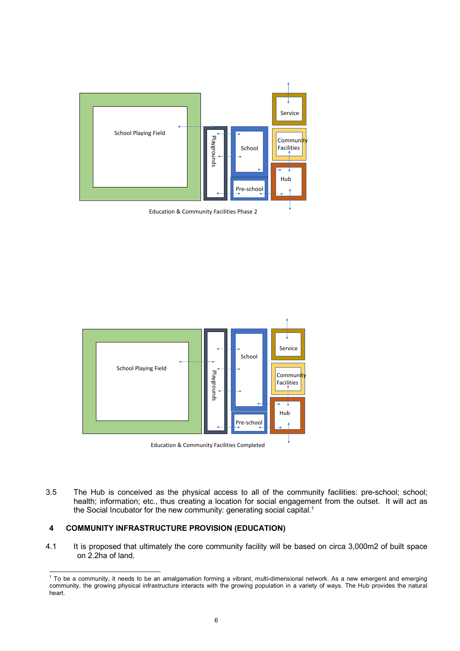

Education & Community Facilities Phase 2





3.5 The Hub is conceived as the physical access to all of the community facilities: pre-school; school; health; information; etc., thus creating a location for social engagement from the outset. It will act as the Social Incubator for the new community: generating social capital.<sup>1</sup>

#### **4 COMMUNITY INFRASTRUCTURE PROVISION (EDUCATION)**

4.1 It is proposed that ultimately the core community facility will be based on circa 3,000m2 of built space on 2.2ha of land.

<sup>&</sup>lt;sup>1</sup> To be a community, it needs to be an amalgamation forming a vibrant, multi-dimensional network. As a new emergent and emerging community, the growing physical infrastructure interacts with the growing population in a variety of ways. The Hub provides the natural heart.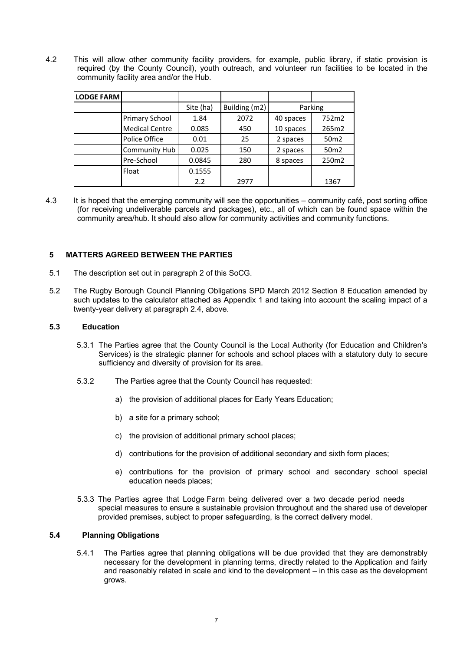4.2 This will allow other community facility providers, for example, public library, if static provision is required (by the County Council), youth outreach, and volunteer run facilities to be located in the community facility area and/or the Hub.

| <b>LODGE FARM</b> |                       |           |               |           |                  |
|-------------------|-----------------------|-----------|---------------|-----------|------------------|
|                   |                       | Site (ha) | Building (m2) |           | Parking          |
|                   | <b>Primary School</b> | 1.84      | 2072          | 40 spaces | 752m2            |
|                   | <b>Medical Centre</b> | 0.085     | 450           | 10 spaces | 265m2            |
|                   | Police Office         | 0.01      | 25            | 2 spaces  | 50 <sub>m2</sub> |
|                   | <b>Community Hub</b>  | 0.025     | 150           | 2 spaces  | 50 <sub>m2</sub> |
|                   | Pre-School            | 0.0845    | 280           | 8 spaces  | 250m2            |
|                   | Float                 | 0.1555    |               |           |                  |
|                   |                       | 2.2       | 2977          |           | 1367             |

4.3 It is hoped that the emerging community will see the opportunities – community café, post sorting office (for receiving undeliverable parcels and packages), etc., all of which can be found space within the community area/hub. It should also allow for community activities and community functions.

#### **5 MATTERS AGREED BETWEEN THE PARTIES**

- 5.1 The description set out in paragraph 2 of this SoCG.
- 5.2 The Rugby Borough Council Planning Obligations SPD March 2012 Section 8 Education amended by such updates to the calculator attached as Appendix 1 and taking into account the scaling impact of a twenty-year delivery at paragraph 2.4, above.

#### **5.3 Education**

- 5.3.1 The Parties agree that the County Council is the Local Authority (for Education and Children's Services) is the strategic planner for schools and school places with a statutory duty to secure sufficiency and diversity of provision for its area.
- 5.3.2 The Parties agree that the County Council has requested:
	- a) the provision of additional places for Early Years Education;
	- b) a site for a primary school;
	- c) the provision of additional primary school places;
	- d) contributions for the provision of additional secondary and sixth form places;
	- e) contributions for the provision of primary school and secondary school special education needs places;
- 5.3.3 The Parties agree that Lodge Farm being delivered over a two decade period needs special measures to ensure a sustainable provision throughout and the shared use of developer provided premises, subject to proper safeguarding, is the correct delivery model.

#### **5.4 Planning Obligations**

5.4.1 The Parties agree that planning obligations will be due provided that they are demonstrably necessary for the development in planning terms, directly related to the Application and fairly and reasonably related in scale and kind to the development – in this case as the development grows.